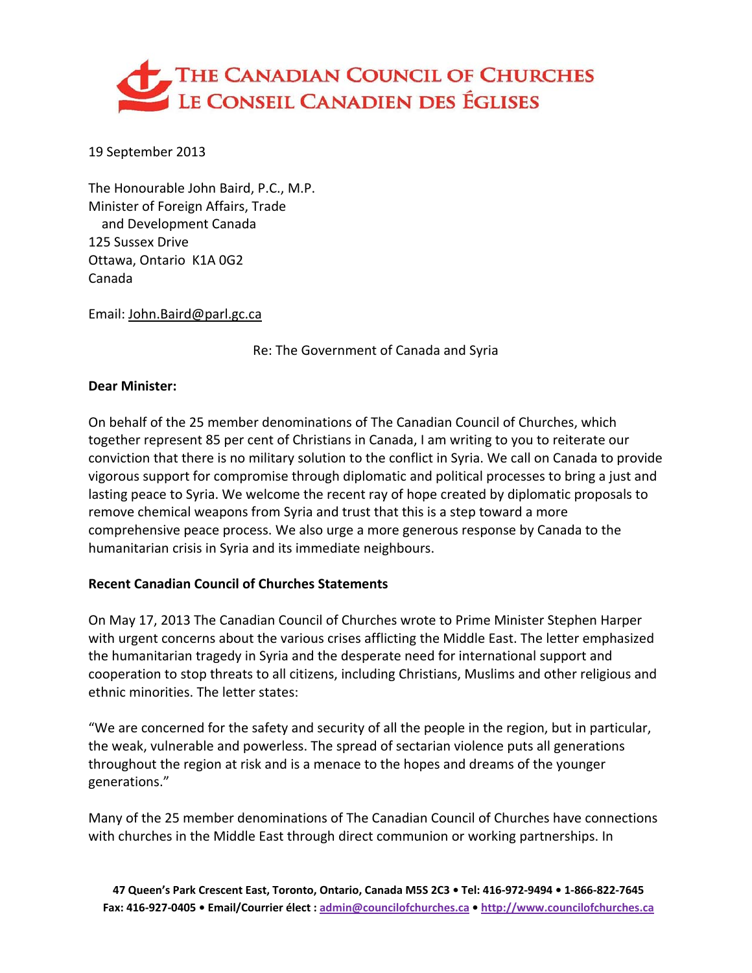

19 September 2013

The Honourable John Baird, P.C., M.P. Minister of Foreign Affairs, Trade and Development Canada 125 Sussex Drive Ottawa, Ontario K1A 0G2 Canada

Email: John.Baird@parl.gc.ca

Re: The Government of Canada and Syria

#### **Dear Minister:**

On behalf of the 25 member denominations of The Canadian Council of Churches, which together represent 85 per cent of Christians in Canada, I am writing to you to reiterate our conviction that there is no military solution to the conflict in Syria. We call on Canada to provide vigorous support for compromise through diplomatic and political processes to bring a just and lasting peace to Syria. We welcome the recent ray of hope created by diplomatic proposals to remove chemical weapons from Syria and trust that this is a step toward a more comprehensive peace process. We also urge a more generous response by Canada to the humanitarian crisis in Syria and its immediate neighbours.

#### **Recent Canadian Council of Churches Statements**

On May 17, 2013 The Canadian Council of Churches wrote to Prime Minister Stephen Harper with urgent concerns about the various crises afflicting the Middle East. The letter emphasized the humanitarian tragedy in Syria and the desperate need for international support and cooperation to stop threats to all citizens, including Christians, Muslims and other religious and ethnic minorities. The letter states:

"We are concerned for the safety and security of all the people in the region, but in particular, the weak, vulnerable and powerless. The spread of sectarian violence puts all generations throughout the region at risk and is a menace to the hopes and dreams of the younger generations."

Many of the 25 member denominations of The Canadian Council of Churches have connections with churches in the Middle East through direct communion or working partnerships. In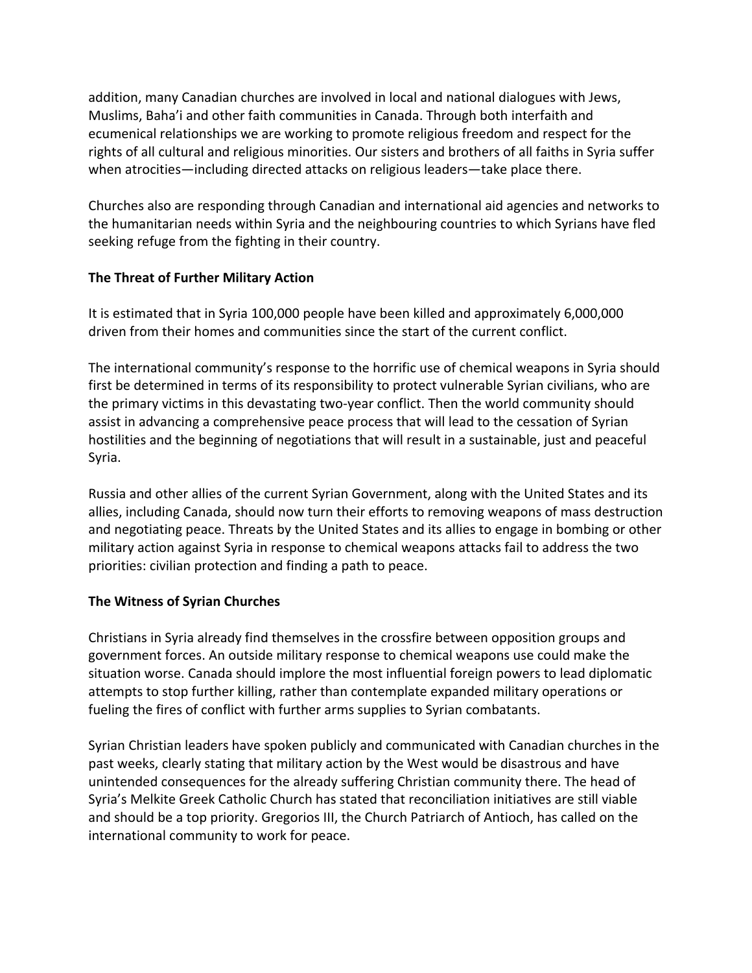addition, many Canadian churches are involved in local and national dialogues with Jews, Muslims, Baha'i and other faith communities in Canada. Through both interfaith and ecumenical relationships we are working to promote religious freedom and respect for the rights of all cultural and religious minorities. Our sisters and brothers of all faiths in Syria suffer when atrocities—including directed attacks on religious leaders—take place there.

Churches also are responding through Canadian and international aid agencies and networks to the humanitarian needs within Syria and the neighbouring countries to which Syrians have fled seeking refuge from the fighting in their country.

# **The Threat of Further Military Action**

It is estimated that in Syria 100,000 people have been killed and approximately 6,000,000 driven from their homes and communities since the start of the current conflict.

The international community's response to the horrific use of chemical weapons in Syria should first be determined in terms of its responsibility to protect vulnerable Syrian civilians, who are the primary victims in this devastating two-year conflict. Then the world community should assist in advancing a comprehensive peace process that will lead to the cessation of Syrian hostilities and the beginning of negotiations that will result in a sustainable, just and peaceful Syria.

Russia and other allies of the current Syrian Government, along with the United States and its allies, including Canada, should now turn their efforts to removing weapons of mass destruction and negotiating peace. Threats by the United States and its allies to engage in bombing or other military action against Syria in response to chemical weapons attacks fail to address the two priorities: civilian protection and finding a path to peace.

## **The Witness of Syrian Churches**

Christians in Syria already find themselves in the crossfire between opposition groups and government forces. An outside military response to chemical weapons use could make the situation worse. Canada should implore the most influential foreign powers to lead diplomatic attempts to stop further killing, rather than contemplate expanded military operations or fueling the fires of conflict with further arms supplies to Syrian combatants.

Syrian Christian leaders have spoken publicly and communicated with Canadian churches in the past weeks, clearly stating that military action by the West would be disastrous and have unintended consequences for the already suffering Christian community there. The head of Syria's Melkite Greek Catholic Church has stated that reconciliation initiatives are still viable and should be a top priority. Gregorios III, the Church Patriarch of Antioch, has called on the international community to work for peace.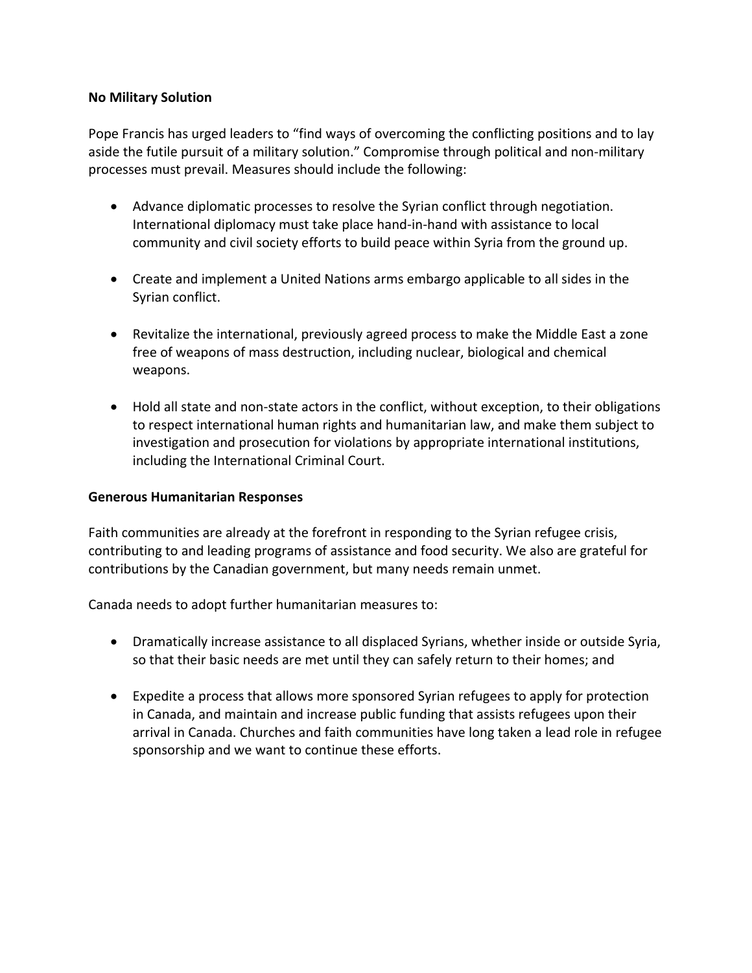## **No Military Solution**

Pope Francis has urged leaders to "find ways of overcoming the conflicting positions and to lay aside the futile pursuit of a military solution." Compromise through political and non-military processes must prevail. Measures should include the following:

- Advance diplomatic processes to resolve the Syrian conflict through negotiation. International diplomacy must take place hand‐in‐hand with assistance to local community and civil society efforts to build peace within Syria from the ground up.
- Create and implement a United Nations arms embargo applicable to all sides in the Syrian conflict.
- Revitalize the international, previously agreed process to make the Middle East a zone free of weapons of mass destruction, including nuclear, biological and chemical weapons.
- Hold all state and non-state actors in the conflict, without exception, to their obligations to respect international human rights and humanitarian law, and make them subject to investigation and prosecution for violations by appropriate international institutions, including the International Criminal Court.

#### **Generous Humanitarian Responses**

Faith communities are already at the forefront in responding to the Syrian refugee crisis, contributing to and leading programs of assistance and food security. We also are grateful for contributions by the Canadian government, but many needs remain unmet.

Canada needs to adopt further humanitarian measures to:

- Dramatically increase assistance to all displaced Syrians, whether inside or outside Syria, so that their basic needs are met until they can safely return to their homes; and
- Expedite a process that allows more sponsored Syrian refugees to apply for protection in Canada, and maintain and increase public funding that assists refugees upon their arrival in Canada. Churches and faith communities have long taken a lead role in refugee sponsorship and we want to continue these efforts.